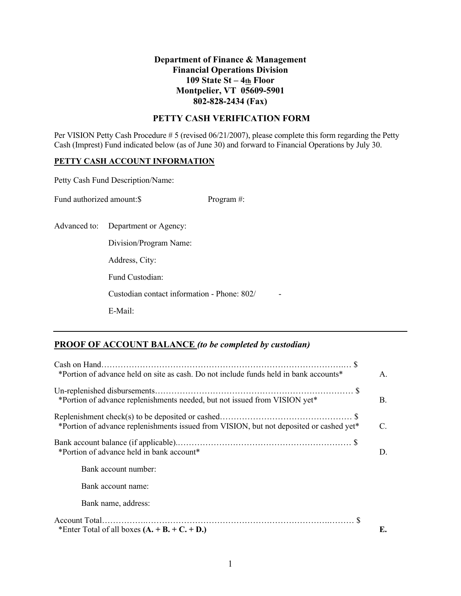# **Department of Finance & Management Financial Operations Division 109 State St – 4th Floor Montpelier, VT 05609-5901 802-828-2434 (Fax)**

### **PETTY CASH VERIFICATION FORM**

Per VISION Petty Cash Procedure # 5 (revised 06/21/2007), please complete this form regarding the Petty Cash (Imprest) Fund indicated below (as of June 30) and forward to Financial Operations by July 30.

#### **PETTY CASH ACCOUNT INFORMATION**

Petty Cash Fund Description/Name:

Fund authorized amount:\$ Program #:

Advanced to: Department or Agency:

Division/Program Name:

Address, City:

Fund Custodian:

Custodian contact information - Phone: 802/ -

E-Mail:

# **PROOF OF ACCOUNT BALANCE** *(to be completed by custodian)*

| *Portion of advance held on site as cash. Do not include funds held in bank accounts*   | $\mathsf{A}$ . |
|-----------------------------------------------------------------------------------------|----------------|
| *Portion of advance replenishments needed, but not issued from VISION yet*              | B.             |
| *Portion of advance replenishments issued from VISION, but not deposited or cashed yet* | C.             |
| *Portion of advance held in bank account*                                               | D.             |
| Bank account number:                                                                    |                |
| Bank account name:                                                                      |                |
| Bank name, address:                                                                     |                |
| *Enter Total of all boxes $(A. + B. + C. + D.)$                                         | Е.             |